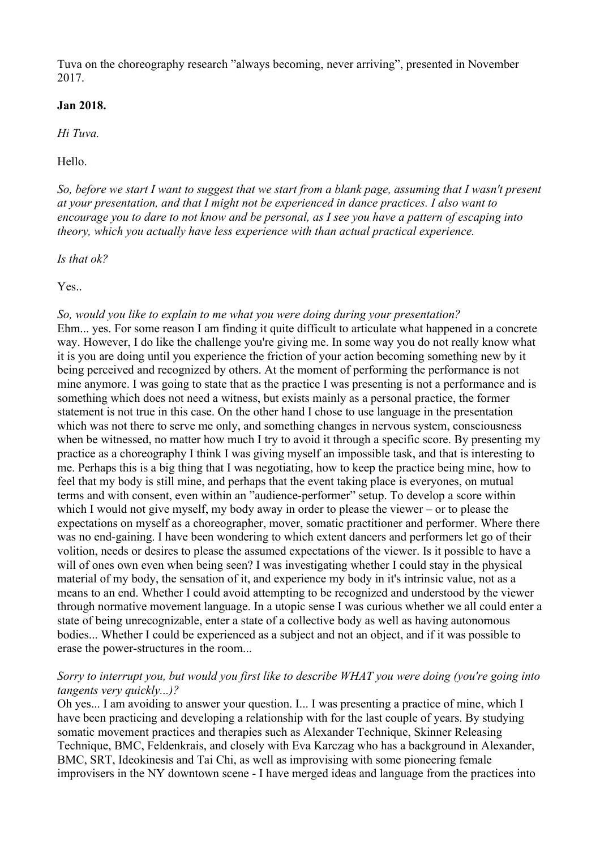Tuva on the choreography research "always becoming, never arriving", presented in November 2017.

# **Jan 2018.**

*Hi Tuva.*

Hello.

*So, before we start I want to suggest that we start from a blank page, assuming that I wasn't present at your presentation, and that I might not be experienced in dance practices. I also want to encourage you to dare to not know and be personal, as I see you have a pattern of escaping into theory, which you actually have less experience with than actual practical experience.*

*Is that ok?*

Yes.

# *So, would you like to explain to me what you were doing during your presentation?*

Ehm... yes. For some reason I am finding it quite difficult to articulate what happened in a concrete way. However, I do like the challenge you're giving me. In some way you do not really know what it is you are doing until you experience the friction of your action becoming something new by it being perceived and recognized by others. At the moment of performing the performance is not mine anymore. I was going to state that as the practice I was presenting is not a performance and is something which does not need a witness, but exists mainly as a personal practice, the former statement is not true in this case. On the other hand I chose to use language in the presentation which was not there to serve me only, and something changes in nervous system, consciousness when be witnessed, no matter how much I try to avoid it through a specific score. By presenting my practice as a choreography I think I was giving myself an impossible task, and that is interesting to me. Perhaps this is a big thing that I was negotiating, how to keep the practice being mine, how to feel that my body is still mine, and perhaps that the event taking place is everyones, on mutual terms and with consent, even within an "audience-performer" setup. To develop a score within which I would not give myself, my body away in order to please the viewer – or to please the expectations on myself as a choreographer, mover, somatic practitioner and performer. Where there was no end-gaining. I have been wondering to which extent dancers and performers let go of their volition, needs or desires to please the assumed expectations of the viewer. Is it possible to have a will of ones own even when being seen? I was investigating whether I could stay in the physical material of my body, the sensation of it, and experience my body in it's intrinsic value, not as a means to an end. Whether I could avoid attempting to be recognized and understood by the viewer through normative movement language. In a utopic sense I was curious whether we all could enter a state of being unrecognizable, enter a state of a collective body as well as having autonomous bodies... Whether I could be experienced as a subject and not an object, and if it was possible to erase the power-structures in the room...

# *Sorry to interrupt you, but would you first like to describe WHAT you were doing (you're going into tangents very quickly...)?*

Oh yes... I am avoiding to answer your question. I... I was presenting a practice of mine, which I have been practicing and developing a relationship with for the last couple of years. By studying somatic movement practices and therapies such as Alexander Technique, Skinner Releasing Technique, BMC, Feldenkrais, and closely with Eva Karczag who has a background in Alexander, BMC, SRT, Ideokinesis and Tai Chi, as well as improvising with some pioneering female improvisers in the NY downtown scene - I have merged ideas and language from the practices into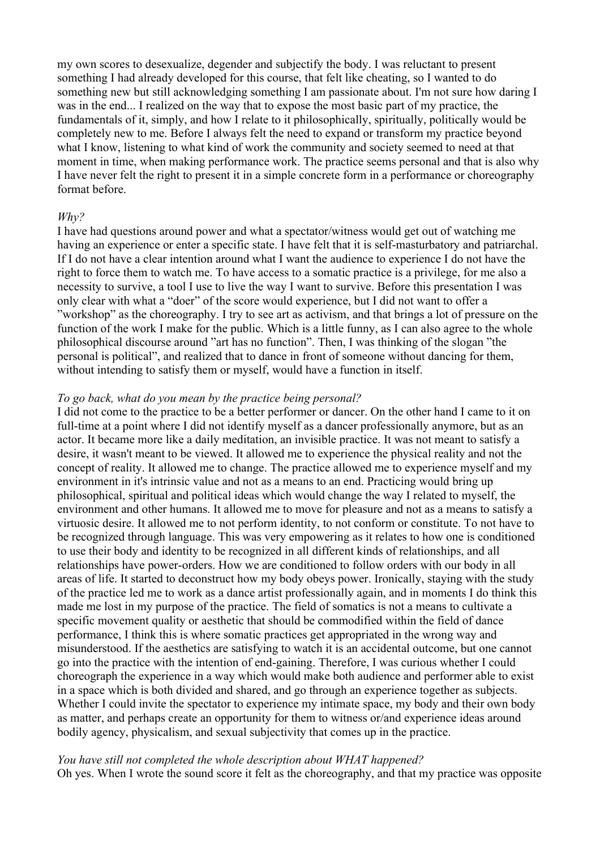my own scores to desexualize, degender and subjectify the body. I was reluctant to present something I had already developed for this course, that felt like cheating, so I wanted to do something new but still acknowledging something I am passionate about. I'm not sure how daring I was in the end... I realized on the way that to expose the most basic part of my practice, the fundamentals of it, simply, and how I relate to it philosophically, spiritually, politically would be completely new to me. Before I always felt the need to expand or transform my practice beyond what I know, listening to what kind of work the community and society seemed to need at that moment in time, when making performance work. The practice seems personal and that is also why I have never felt the right to present it in a simple concrete form in a performance or choreography format before.

## *Why?*

I have had questions around power and what a spectator/witness would get out of watching me having an experience or enter a specific state. I have felt that it is self-masturbatory and patriarchal. If I do not have a clear intention around what I want the audience to experience I do not have the right to force them to watch me. To have access to a somatic practice is a privilege, for me also a necessity to survive, a tool I use to live the way I want to survive. Before this presentation I was only clear with what a "doer" of the score would experience, but I did not want to offer a "workshop" as the choreography. I try to see art as activism, and that brings a lot of pressure on the function of the work I make for the public. Which is a little funny, as I can also agree to the whole philosophical discourse around "art has no function". Then, I was thinking of the slogan "the personal is political", and realized that to dance in front of someone without dancing for them, without intending to satisfy them or myself, would have a function in itself.

## *To go back, what do you mean by the practice being personal?*

I did not come to the practice to be a better performer or dancer. On the other hand I came to it on full-time at a point where I did not identify myself as a dancer professionally anymore, but as an actor. It became more like a daily meditation, an invisible practice. It was not meant to satisfy a desire, it wasn't meant to be viewed. It allowed me to experience the physical reality and not the concept of reality. It allowed me to change. The practice allowed me to experience myself and my environment in it's intrinsic value and not as a means to an end. Practicing would bring up philosophical, spiritual and political ideas which would change the way I related to myself, the environment and other humans. It allowed me to move for pleasure and not as a means to satisfy a virtuosic desire. It allowed me to not perform identity, to not conform or constitute. To not have to be recognized through language. This was very empowering as it relates to how one is conditioned to use their body and identity to be recognized in all different kinds of relationships, and all relationships have power-orders. How we are conditioned to follow orders with our body in all areas of life. It started to deconstruct how my body obeys power. Ironically, staying with the study of the practice led me to work as a dance artist professionally again, and in moments I do think this made me lost in my purpose of the practice. The field of somatics is not a means to cultivate a specific movement quality or aesthetic that should be commodified within the field of dance performance, I think this is where somatic practices get appropriated in the wrong way and misunderstood. If the aesthetics are satisfying to watch it is an accidental outcome, but one cannot go into the practice with the intention of end-gaining. Therefore, I was curious whether I could choreograph the experience in a way which would make both audience and performer able to exist in a space which is both divided and shared, and go through an experience together as subjects. Whether I could invite the spectator to experience my intimate space, my body and their own body as matter, and perhaps create an opportunity for them to witness or/and experience ideas around bodily agency, physicalism, and sexual subjectivity that comes up in the practice.

## *You have still not completed the whole description about WHAT happened?*

Oh yes. When I wrote the sound score it felt as the choreography, and that my practice was opposite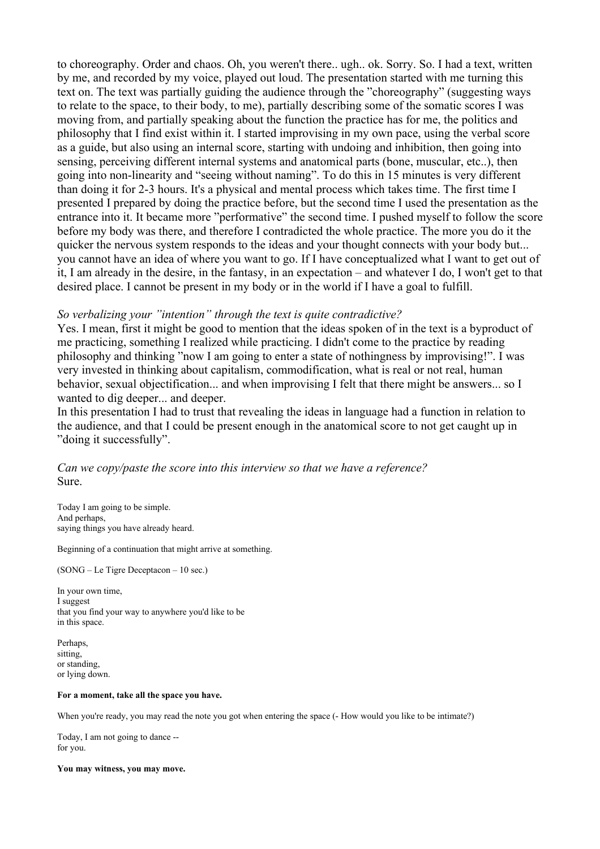to choreography. Order and chaos. Oh, you weren't there.. ugh.. ok. Sorry. So. I had a text, written by me, and recorded by my voice, played out loud. The presentation started with me turning this text on. The text was partially guiding the audience through the "choreography" (suggesting ways to relate to the space, to their body, to me), partially describing some of the somatic scores I was moving from, and partially speaking about the function the practice has for me, the politics and philosophy that I find exist within it. I started improvising in my own pace, using the verbal score as a guide, but also using an internal score, starting with undoing and inhibition, then going into sensing, perceiving different internal systems and anatomical parts (bone, muscular, etc..), then going into non-linearity and "seeing without naming". To do this in 15 minutes is very different than doing it for 2-3 hours. It's a physical and mental process which takes time. The first time I presented I prepared by doing the practice before, but the second time I used the presentation as the entrance into it. It became more "performative" the second time. I pushed myself to follow the score before my body was there, and therefore I contradicted the whole practice. The more you do it the quicker the nervous system responds to the ideas and your thought connects with your body but... you cannot have an idea of where you want to go. If I have conceptualized what I want to get out of it, I am already in the desire, in the fantasy, in an expectation – and whatever I do, I won't get to that desired place. I cannot be present in my body or in the world if I have a goal to fulfill.

### *So verbalizing your "intention" through the text is quite contradictive?*

Yes. I mean, first it might be good to mention that the ideas spoken of in the text is a byproduct of me practicing, something I realized while practicing. I didn't come to the practice by reading philosophy and thinking "now I am going to enter a state of nothingness by improvising!". I was very invested in thinking about capitalism, commodification, what is real or not real, human behavior, sexual objectification... and when improvising I felt that there might be answers... so I wanted to dig deeper... and deeper.

In this presentation I had to trust that revealing the ideas in language had a function in relation to the audience, and that I could be present enough in the anatomical score to not get caught up in "doing it successfully".

## *Can we copy/paste the score into this interview so that we have a reference?* Sure.

Today I am going to be simple. And perhaps, saying things you have already heard.

Beginning of a continuation that might arrive at something.

(SONG – Le Tigre Deceptacon – 10 sec.)

In your own time, I suggest that you find your way to anywhere you'd like to be in this space.

Perhaps, sitting, or standing, or lying down.

#### **For a moment, take all the space you have.**

When you're ready, you may read the note you got when entering the space (- How would you like to be intimate?)

Today, I am not going to dance - for you.

**You may witness, you may move.**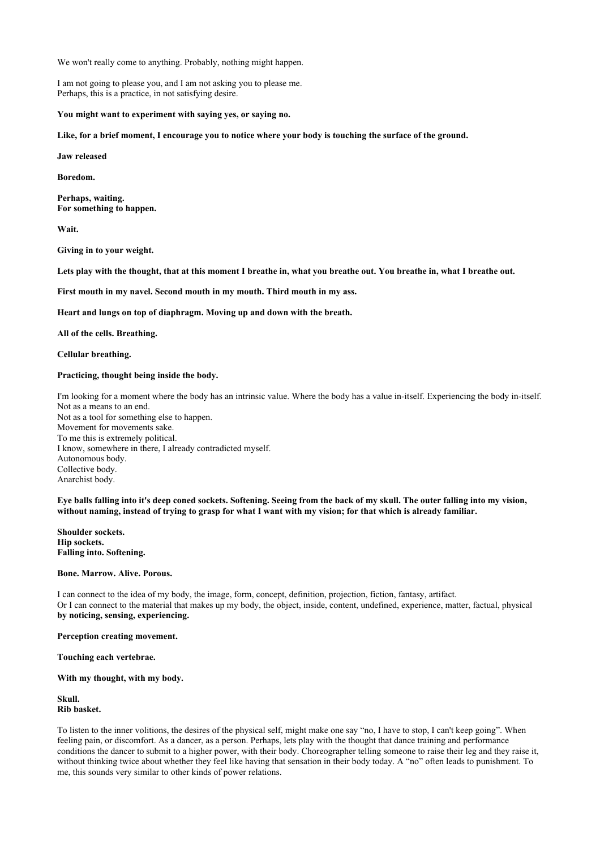We won't really come to anything. Probably, nothing might happen.

I am not going to please you, and I am not asking you to please me. Perhaps, this is a practice, in not satisfying desire.

**You might want to experiment with saying yes, or saying no.**

**Like, for a brief moment, I encourage you to notice where your body is touching the surface of the ground.**

**Jaw released**

**Boredom.**

**Perhaps, waiting. For something to happen.**

**Wait.**

**Giving in to your weight.**

Lets play with the thought, that at this moment I breathe in, what you breathe out. You breathe in, what I breathe out.

**First mouth in my navel. Second mouth in my mouth. Third mouth in my ass.**

**Heart and lungs on top of diaphragm. Moving up and down with the breath.**

**All of the cells. Breathing.**

**Cellular breathing.**

#### **Practicing, thought being inside the body.**

I'm looking for a moment where the body has an intrinsic value. Where the body has a value in-itself. Experiencing the body in-itself. Not as a means to an end. Not as a tool for something else to happen. Movement for movements sake. To me this is extremely political. I know, somewhere in there, I already contradicted myself. Autonomous body. Collective body. Anarchist body.

**Eye balls falling into it's deep coned sockets. Softening. Seeing from the back of my skull. The outer falling into my vision, without naming, instead of trying to grasp for what I want with my vision; for that which is already familiar.**

**Shoulder sockets. Hip sockets. Falling into. Softening.**

**Bone. Marrow. Alive. Porous.**

I can connect to the idea of my body, the image, form, concept, definition, projection, fiction, fantasy, artifact. Or I can connect to the material that makes up my body, the object, inside, content, undefined, experience, matter, factual, physical **by noticing, sensing, experiencing.**

**Perception creating movement.**

**Touching each vertebrae.**

**With my thought, with my body.**

**Skull. Rib basket.**

To listen to the inner volitions, the desires of the physical self, might make one say "no, I have to stop, I can't keep going". When feeling pain, or discomfort. As a dancer, as a person. Perhaps, lets play with the thought that dance training and performance conditions the dancer to submit to a higher power, with their body. Choreographer telling someone to raise their leg and they raise it, without thinking twice about whether they feel like having that sensation in their body today. A "no" often leads to punishment. To me, this sounds very similar to other kinds of power relations.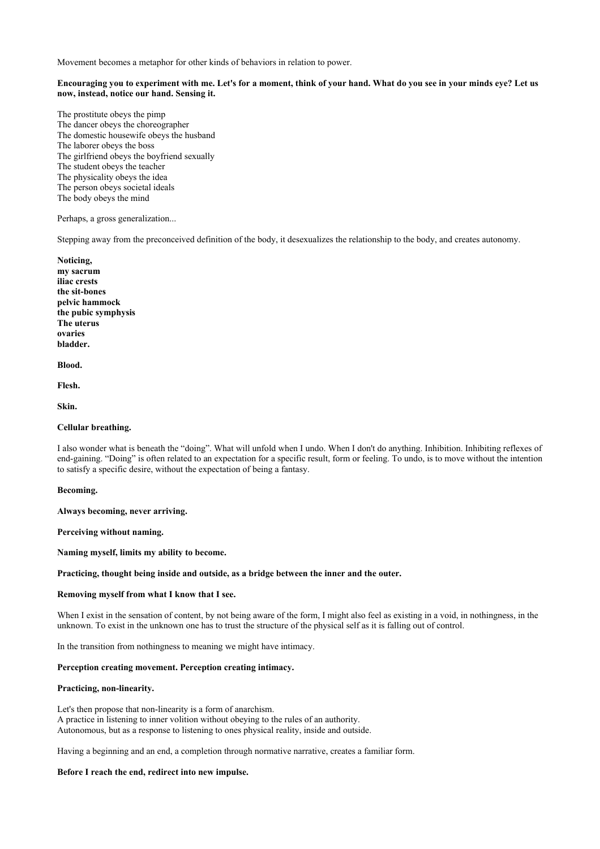Movement becomes a metaphor for other kinds of behaviors in relation to power.

#### **Encouraging you to experiment with me. Let's for a moment, think of your hand. What do you see in your minds eye? Let us now, instead, notice our hand. Sensing it.**

The prostitute obeys the pimp The dancer obeys the choreographer The domestic housewife obeys the husband The laborer obeys the boss The girlfriend obeys the boyfriend sexually The student obeys the teacher The physicality obeys the idea The person obeys societal ideals The body obeys the mind

Perhaps, a gross generalization...

Stepping away from the preconceived definition of the body, it desexualizes the relationship to the body, and creates autonomy.

**Noticing, my sacrum iliac crests the sit-bones pelvic hammock the pubic symphysis The uterus ovaries bladder.**

**Blood.**

**Flesh.**

**Skin.**

#### **Cellular breathing.**

I also wonder what is beneath the "doing". What will unfold when I undo. When I don't do anything. Inhibition. Inhibiting reflexes of end-gaining. "Doing" is often related to an expectation for a specific result, form or feeling. To undo, is to move without the intention to satisfy a specific desire, without the expectation of being a fantasy.

**Becoming.**

**Always becoming, never arriving.**

**Perceiving without naming.**

**Naming myself, limits my ability to become.**

#### **Practicing, thought being inside and outside, as a bridge between the inner and the outer.**

#### **Removing myself from what I know that I see.**

When I exist in the sensation of content, by not being aware of the form, I might also feel as existing in a void, in nothingness, in the unknown. To exist in the unknown one has to trust the structure of the physical self as it is falling out of control.

In the transition from nothingness to meaning we might have intimacy.

#### **Perception creating movement. Perception creating intimacy.**

#### **Practicing, non-linearity.**

Let's then propose that non-linearity is a form of anarchism. A practice in listening to inner volition without obeying to the rules of an authority. Autonomous, but as a response to listening to ones physical reality, inside and outside.

Having a beginning and an end, a completion through normative narrative, creates a familiar form.

#### **Before I reach the end, redirect into new impulse.**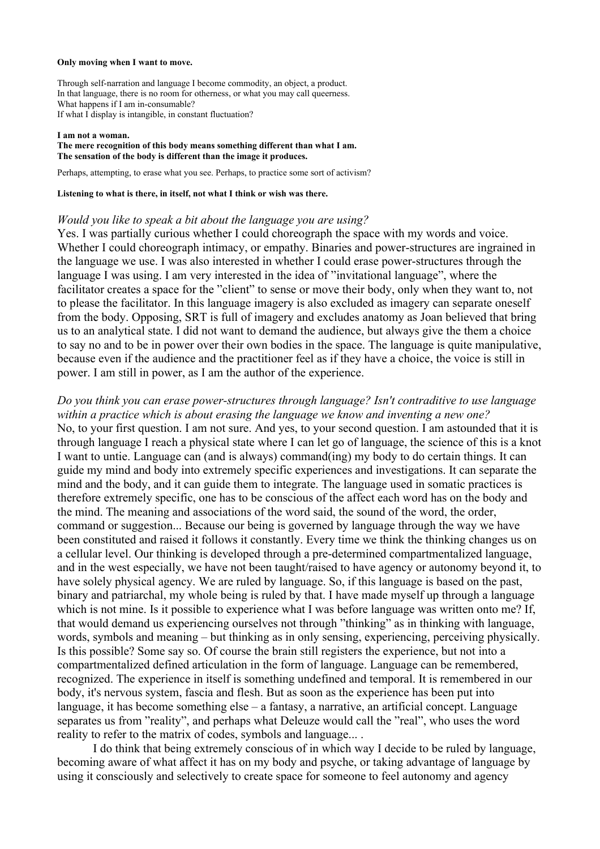#### **Only moving when I want to move.**

Through self-narration and language I become commodity, an object, a product. In that language, there is no room for otherness, or what you may call queerness. What happens if I am in-consumable? If what I display is intangible, in constant fluctuation?

#### **I am not a woman.**

#### **The mere recognition of this body means something different than what I am. The sensation of the body is different than the image it produces.**

Perhaps, attempting, to erase what you see. Perhaps, to practice some sort of activism?

### **Listening to what is there, in itself, not what I think or wish was there.**

### *Would you like to speak a bit about the language you are using?*

Yes. I was partially curious whether I could choreograph the space with my words and voice. Whether I could choreograph intimacy, or empathy. Binaries and power-structures are ingrained in the language we use. I was also interested in whether I could erase power-structures through the language I was using. I am very interested in the idea of "invitational language", where the facilitator creates a space for the "client" to sense or move their body, only when they want to, not to please the facilitator. In this language imagery is also excluded as imagery can separate oneself from the body. Opposing, SRT is full of imagery and excludes anatomy as Joan believed that bring us to an analytical state. I did not want to demand the audience, but always give the them a choice to say no and to be in power over their own bodies in the space. The language is quite manipulative, because even if the audience and the practitioner feel as if they have a choice, the voice is still in power. I am still in power, as I am the author of the experience.

*Do you think you can erase power-structures through language? Isn't contraditive to use language within a practice which is about erasing the language we know and inventing a new one?* No, to your first question. I am not sure. And yes, to your second question. I am astounded that it is through language I reach a physical state where I can let go of language, the science of this is a knot I want to untie. Language can (and is always) command(ing) my body to do certain things. It can guide my mind and body into extremely specific experiences and investigations. It can separate the mind and the body, and it can guide them to integrate. The language used in somatic practices is therefore extremely specific, one has to be conscious of the affect each word has on the body and the mind. The meaning and associations of the word said, the sound of the word, the order, command or suggestion... Because our being is governed by language through the way we have been constituted and raised it follows it constantly. Every time we think the thinking changes us on a cellular level. Our thinking is developed through a pre-determined compartmentalized language, and in the west especially, we have not been taught/raised to have agency or autonomy beyond it, to have solely physical agency. We are ruled by language. So, if this language is based on the past, binary and patriarchal, my whole being is ruled by that. I have made myself up through a language which is not mine. Is it possible to experience what I was before language was written onto me? If, that would demand us experiencing ourselves not through "thinking" as in thinking with language, words, symbols and meaning – but thinking as in only sensing, experiencing, perceiving physically. Is this possible? Some say so. Of course the brain still registers the experience, but not into a compartmentalized defined articulation in the form of language. Language can be remembered, recognized. The experience in itself is something undefined and temporal. It is remembered in our body, it's nervous system, fascia and flesh. But as soon as the experience has been put into language, it has become something else – a fantasy, a narrative, an artificial concept. Language separates us from "reality", and perhaps what Deleuze would call the "real", who uses the word reality to refer to the matrix of codes, symbols and language... .

I do think that being extremely conscious of in which way I decide to be ruled by language, becoming aware of what affect it has on my body and psyche, or taking advantage of language by using it consciously and selectively to create space for someone to feel autonomy and agency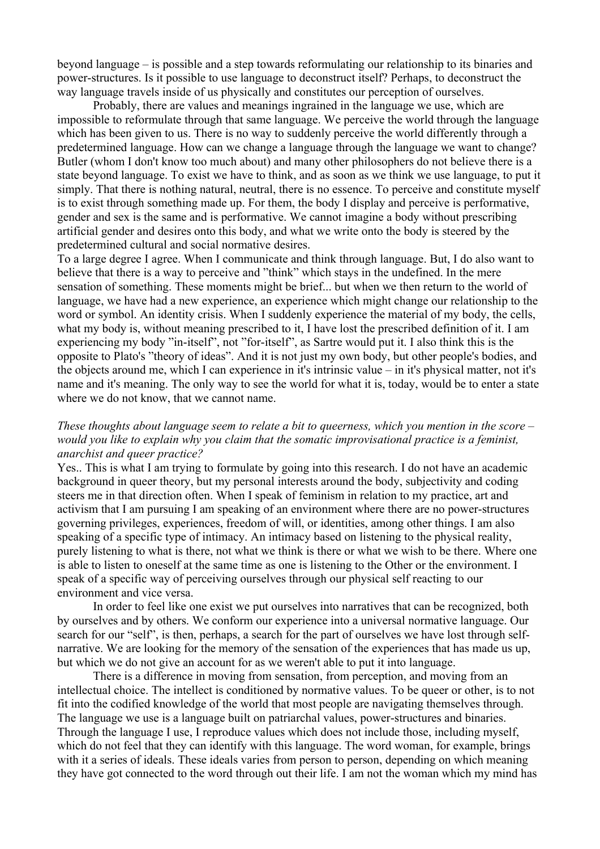beyond language – is possible and a step towards reformulating our relationship to its binaries and power-structures. Is it possible to use language to deconstruct itself? Perhaps, to deconstruct the way language travels inside of us physically and constitutes our perception of ourselves.

Probably, there are values and meanings ingrained in the language we use, which are impossible to reformulate through that same language. We perceive the world through the language which has been given to us. There is no way to suddenly perceive the world differently through a predetermined language. How can we change a language through the language we want to change? Butler (whom I don't know too much about) and many other philosophers do not believe there is a state beyond language. To exist we have to think, and as soon as we think we use language, to put it simply. That there is nothing natural, neutral, there is no essence. To perceive and constitute myself is to exist through something made up. For them, the body I display and perceive is performative, gender and sex is the same and is performative. We cannot imagine a body without prescribing artificial gender and desires onto this body, and what we write onto the body is steered by the predetermined cultural and social normative desires.

To a large degree I agree. When I communicate and think through language. But, I do also want to believe that there is a way to perceive and "think" which stays in the undefined. In the mere sensation of something. These moments might be brief... but when we then return to the world of language, we have had a new experience, an experience which might change our relationship to the word or symbol. An identity crisis. When I suddenly experience the material of my body, the cells, what my body is, without meaning prescribed to it, I have lost the prescribed definition of it. I am experiencing my body "in-itself", not "for-itself", as Sartre would put it. I also think this is the opposite to Plato's "theory of ideas". And it is not just my own body, but other people's bodies, and the objects around me, which I can experience in it's intrinsic value – in it's physical matter, not it's name and it's meaning. The only way to see the world for what it is, today, would be to enter a state where we do not know, that we cannot name.

# *These thoughts about language seem to relate a bit to queerness, which you mention in the score – would you like to explain why you claim that the somatic improvisational practice is a feminist, anarchist and queer practice?*

Yes.. This is what I am trying to formulate by going into this research. I do not have an academic background in queer theory, but my personal interests around the body, subjectivity and coding steers me in that direction often. When I speak of feminism in relation to my practice, art and activism that I am pursuing I am speaking of an environment where there are no power-structures governing privileges, experiences, freedom of will, or identities, among other things. I am also speaking of a specific type of intimacy. An intimacy based on listening to the physical reality, purely listening to what is there, not what we think is there or what we wish to be there. Where one is able to listen to oneself at the same time as one is listening to the Other or the environment. I speak of a specific way of perceiving ourselves through our physical self reacting to our environment and vice versa.

In order to feel like one exist we put ourselves into narratives that can be recognized, both by ourselves and by others. We conform our experience into a universal normative language. Our search for our "self", is then, perhaps, a search for the part of ourselves we have lost through selfnarrative. We are looking for the memory of the sensation of the experiences that has made us up, but which we do not give an account for as we weren't able to put it into language.

There is a difference in moving from sensation, from perception, and moving from an intellectual choice. The intellect is conditioned by normative values. To be queer or other, is to not fit into the codified knowledge of the world that most people are navigating themselves through. The language we use is a language built on patriarchal values, power-structures and binaries. Through the language I use, I reproduce values which does not include those, including myself, which do not feel that they can identify with this language. The word woman, for example, brings with it a series of ideals. These ideals varies from person to person, depending on which meaning they have got connected to the word through out their life. I am not the woman which my mind has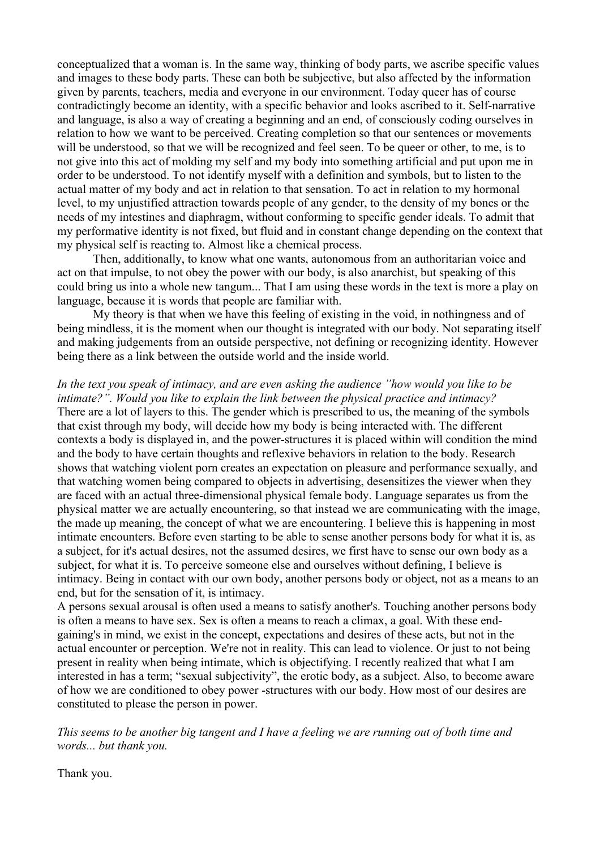conceptualized that a woman is. In the same way, thinking of body parts, we ascribe specific values and images to these body parts. These can both be subjective, but also affected by the information given by parents, teachers, media and everyone in our environment. Today queer has of course contradictingly become an identity, with a specific behavior and looks ascribed to it. Self-narrative and language, is also a way of creating a beginning and an end, of consciously coding ourselves in relation to how we want to be perceived. Creating completion so that our sentences or movements will be understood, so that we will be recognized and feel seen. To be queer or other, to me, is to not give into this act of molding my self and my body into something artificial and put upon me in order to be understood. To not identify myself with a definition and symbols, but to listen to the actual matter of my body and act in relation to that sensation. To act in relation to my hormonal level, to my unjustified attraction towards people of any gender, to the density of my bones or the needs of my intestines and diaphragm, without conforming to specific gender ideals. To admit that my performative identity is not fixed, but fluid and in constant change depending on the context that my physical self is reacting to. Almost like a chemical process.

Then, additionally, to know what one wants, autonomous from an authoritarian voice and act on that impulse, to not obey the power with our body, is also anarchist, but speaking of this could bring us into a whole new tangum... That I am using these words in the text is more a play on language, because it is words that people are familiar with.

My theory is that when we have this feeling of existing in the void, in nothingness and of being mindless, it is the moment when our thought is integrated with our body. Not separating itself and making judgements from an outside perspective, not defining or recognizing identity. However being there as a link between the outside world and the inside world.

*In the text you speak of intimacy, and are even asking the audience "how would you like to be intimate?". Would you like to explain the link between the physical practice and intimacy?* There are a lot of layers to this. The gender which is prescribed to us, the meaning of the symbols that exist through my body, will decide how my body is being interacted with. The different contexts a body is displayed in, and the power-structures it is placed within will condition the mind and the body to have certain thoughts and reflexive behaviors in relation to the body. Research shows that watching violent porn creates an expectation on pleasure and performance sexually, and that watching women being compared to objects in advertising, desensitizes the viewer when they are faced with an actual three-dimensional physical female body. Language separates us from the physical matter we are actually encountering, so that instead we are communicating with the image, the made up meaning, the concept of what we are encountering. I believe this is happening in most intimate encounters. Before even starting to be able to sense another persons body for what it is, as a subject, for it's actual desires, not the assumed desires, we first have to sense our own body as a subject, for what it is. To perceive someone else and ourselves without defining, I believe is intimacy. Being in contact with our own body, another persons body or object, not as a means to an end, but for the sensation of it, is intimacy.

A persons sexual arousal is often used a means to satisfy another's. Touching another persons body is often a means to have sex. Sex is often a means to reach a climax, a goal. With these endgaining's in mind, we exist in the concept, expectations and desires of these acts, but not in the actual encounter or perception. We're not in reality. This can lead to violence. Or just to not being present in reality when being intimate, which is objectifying. I recently realized that what I am interested in has a term; "sexual subjectivity", the erotic body, as a subject. Also, to become aware of how we are conditioned to obey power -structures with our body. How most of our desires are constituted to please the person in power.

*This seems to be another big tangent and I have a feeling we are running out of both time and words... but thank you.*

Thank you.